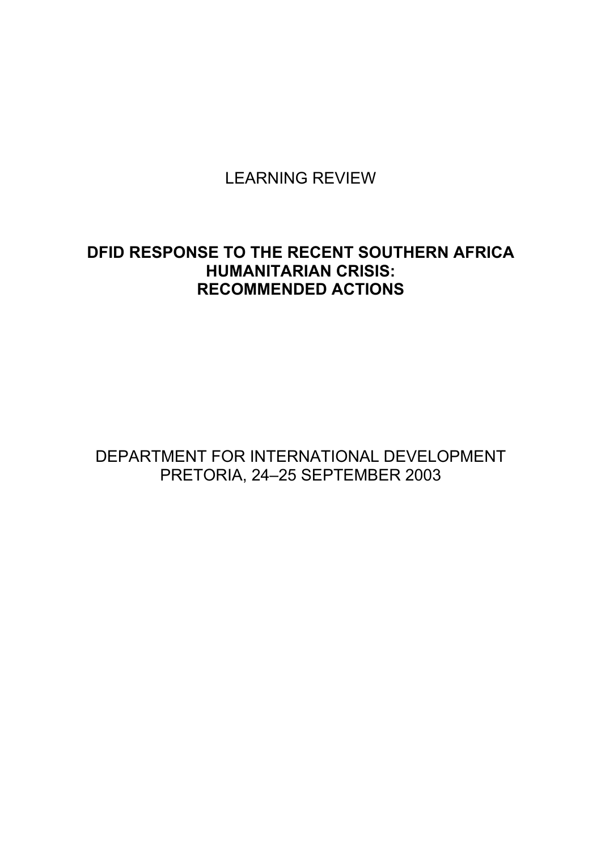LEARNING REVIEW

# **DFID RESPONSE TO THE RECENT SOUTHERN AFRICA HUMANITARIAN CRISIS: RECOMMENDED ACTIONS**

DEPARTMENT FOR INTERNATIONAL DEVELOPMENT PRETORIA, 24-25 SEPTEMBER 2003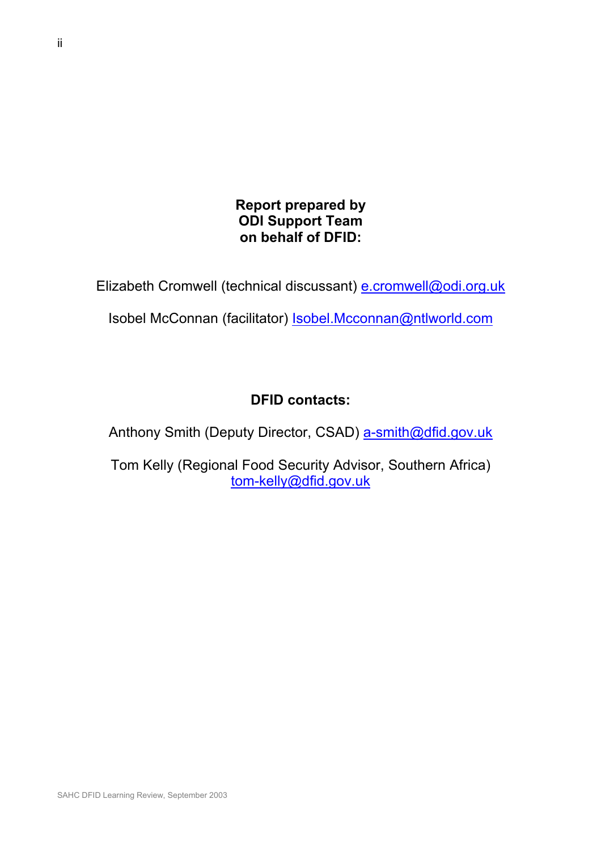# **Report prepared by ODI Support Team on behalf of DFID:**

Elizabeth Cromwell (technical discussant) e.cromwell@odi.org.uk

Isobel McConnan (facilitator) Isobel.Mcconnan@ntlworld.com

# **DFID contacts:**

Anthony Smith (Deputy Director, CSAD) a-smith@dfid.gov.uk

Tom Kelly (Regional Food Security Advisor, Southern Africa) tom-kelly@dfid.gov.uk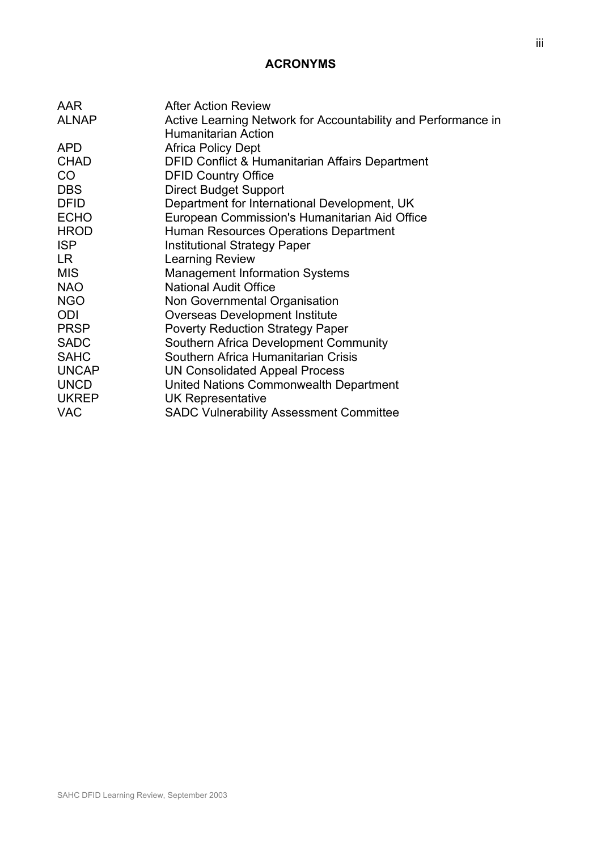# **ACRONYMS**

| AAR          | <b>After Action Review</b>                                    |
|--------------|---------------------------------------------------------------|
| <b>ALNAP</b> | Active Learning Network for Accountability and Performance in |
|              | <b>Humanitarian Action</b>                                    |
| <b>APD</b>   | <b>Africa Policy Dept</b>                                     |
| <b>CHAD</b>  | <b>DFID Conflict &amp; Humanitarian Affairs Department</b>    |
| CO           | <b>DFID Country Office</b>                                    |
| <b>DBS</b>   | <b>Direct Budget Support</b>                                  |
| <b>DFID</b>  | Department for International Development, UK                  |
| <b>ECHO</b>  | European Commission's Humanitarian Aid Office                 |
| <b>HROD</b>  | Human Resources Operations Department                         |
| <b>ISP</b>   | <b>Institutional Strategy Paper</b>                           |
| LR.          | Learning Review                                               |
| <b>MIS</b>   | <b>Management Information Systems</b>                         |
| <b>NAO</b>   | <b>National Audit Office</b>                                  |
| <b>NGO</b>   | Non Governmental Organisation                                 |
| ODI          | <b>Overseas Development Institute</b>                         |
| <b>PRSP</b>  | <b>Poverty Reduction Strategy Paper</b>                       |
| <b>SADC</b>  | Southern Africa Development Community                         |
| <b>SAHC</b>  | Southern Africa Humanitarian Crisis                           |
| <b>UNCAP</b> | UN Consolidated Appeal Process                                |
| <b>UNCD</b>  | United Nations Commonwealth Department                        |
| <b>UKREP</b> | UK Representative                                             |
| <b>VAC</b>   | <b>SADC Vulnerability Assessment Committee</b>                |
|              |                                                               |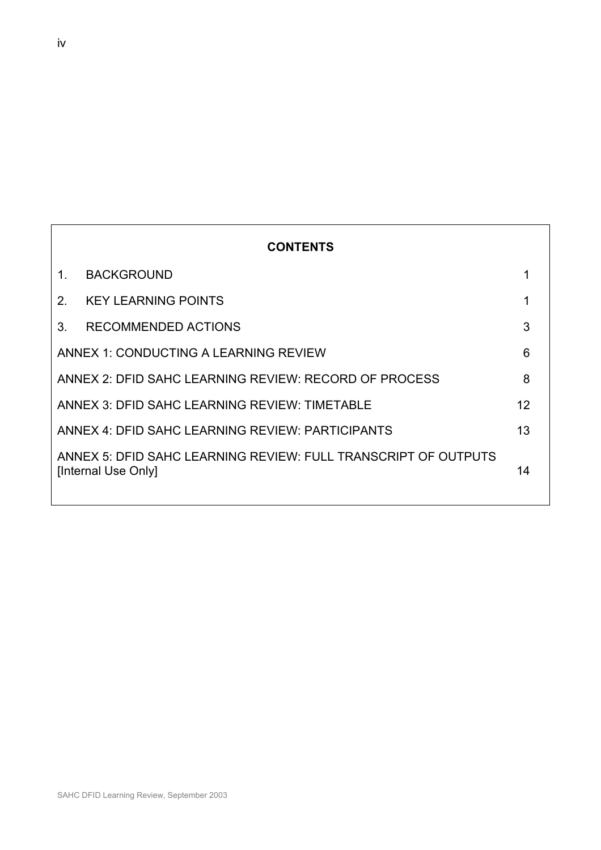|                                                            | <b>CONTENTS</b>                                                                       |    |
|------------------------------------------------------------|---------------------------------------------------------------------------------------|----|
| 1.                                                         | <b>BACKGROUND</b>                                                                     | 1  |
| 2 <sup>1</sup>                                             | <b>KEY LEARNING POINTS</b>                                                            |    |
| 3 <sub>1</sub>                                             | RECOMMENDED ACTIONS                                                                   | 3  |
| ANNEX 1: CONDUCTING A LEARNING REVIEW<br>6                 |                                                                                       |    |
| ANNEX 2: DFID SAHC LEARNING REVIEW: RECORD OF PROCESS<br>8 |                                                                                       |    |
| ANNEX 3: DFID SAHC LEARNING REVIEW: TIMETABLE<br>12        |                                                                                       |    |
| 13<br>ANNEX 4: DFID SAHC LEARNING REVIEW: PARTICIPANTS     |                                                                                       |    |
|                                                            | ANNEX 5: DFID SAHC LEARNING REVIEW: FULL TRANSCRIPT OF OUTPUTS<br>[Internal Use Only] | 14 |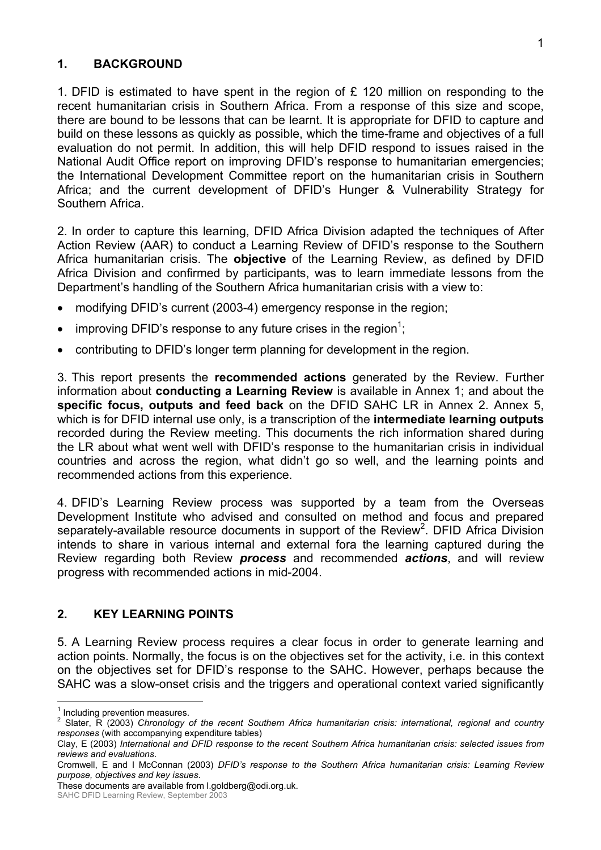## **1. BACKGROUND**

1. DFID is estimated to have spent in the region of  $E$  120 million on responding to the recent humanitarian crisis in Southern Africa. From a response of this size and scope, there are bound to be lessons that can be learnt. It is appropriate for DFID to capture and build on these lessons as quickly as possible, which the time-frame and objectives of a full evaluation do not permit. In addition, this will help DFID respond to issues raised in the National Audit Office report on improving DFIDís response to humanitarian emergencies; the International Development Committee report on the humanitarian crisis in Southern Africa; and the current development of DFIDís Hunger & Vulnerability Strategy for Southern Africa.

2. In order to capture this learning, DFID Africa Division adapted the techniques of After Action Review (AAR) to conduct a Learning Review of DFID's response to the Southern Africa humanitarian crisis. The **objective** of the Learning Review, as defined by DFID Africa Division and confirmed by participants, was to learn immediate lessons from the Department's handling of the Southern Africa humanitarian crisis with a view to:

- modifying DFID's current (2003-4) emergency response in the region;
- improving DFID's response to any future crises in the region<sup>1</sup>;
- contributing to DFID's longer term planning for development in the region.

3. This report presents the **recommended actions** generated by the Review. Further information about **conducting a Learning Review** is available in Annex 1; and about the **specific focus, outputs and feed back** on the DFID SAHC LR in Annex 2. Annex 5, which is for DFID internal use only, is a transcription of the **intermediate learning outputs** recorded during the Review meeting. This documents the rich information shared during the LR about what went well with DFID's response to the humanitarian crisis in individual countries and across the region, what didnít go so well, and the learning points and recommended actions from this experience.

4. DFIDís Learning Review process was supported by a team from the Overseas Development Institute who advised and consulted on method and focus and prepared separately-available resource documents in support of the Review<sup>2</sup>. DFID Africa Division intends to share in various internal and external fora the learning captured during the Review regarding both Review *process* and recommended *actions*, and will review progress with recommended actions in mid-2004.

## **2. KEY LEARNING POINTS**

5. A Learning Review process requires a clear focus in order to generate learning and action points. Normally, the focus is on the objectives set for the activity, i.e. in this context on the objectives set for DFIDís response to the SAHC. However, perhaps because the SAHC was a slow-onset crisis and the triggers and operational context varied significantly

**Tandor**<br><sup>1</sup> Including prevention measures.

<sup>2</sup> Slater, R (2003) *Chronology of the recent Southern Africa humanitarian crisis: international, regional and country responses* (with accompanying expenditure tables)

Clay, E (2003) *International and DFID response to the recent Southern Africa humanitarian crisis: selected issues from reviews and evaluations*.

Cromwell, E and I McConnan (2003) *DFIDís response to the Southern Africa humanitarian crisis: Learning Review purpose, objectives and key issues*.

These documents are available from l.goldberg@odi.org.uk.

SAHC DFID Learning Review, September 2003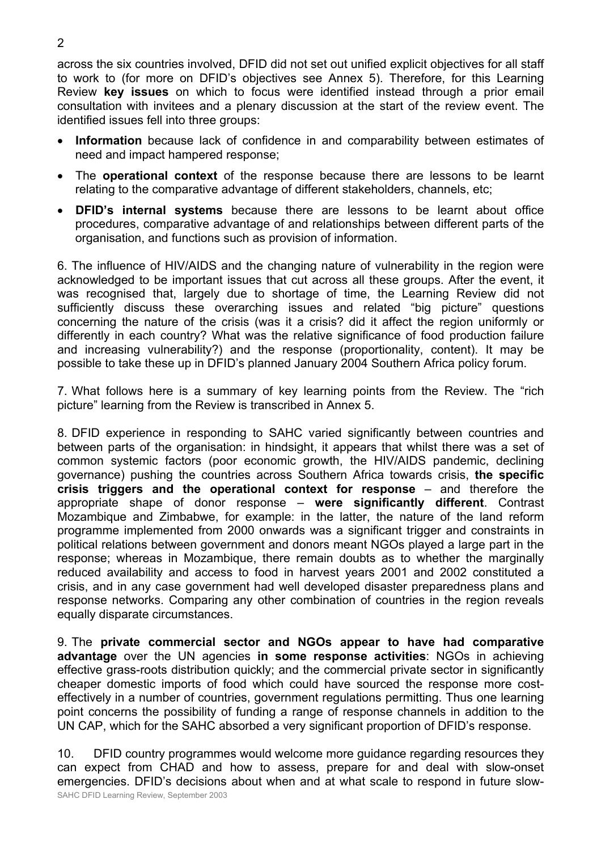across the six countries involved, DFID did not set out unified explicit objectives for all staff to work to (for more on DFIDís objectives see Annex 5). Therefore, for this Learning Review **key issues** on which to focus were identified instead through a prior email consultation with invitees and a plenary discussion at the start of the review event. The identified issues fell into three groups:

- **Information** because lack of confidence in and comparability between estimates of need and impact hampered response;
- The **operational context** of the response because there are lessons to be learnt relating to the comparative advantage of different stakeholders, channels, etc;
- **DFIDís internal systems** because there are lessons to be learnt about office procedures, comparative advantage of and relationships between different parts of the organisation, and functions such as provision of information.

6. The influence of HIV/AIDS and the changing nature of vulnerability in the region were acknowledged to be important issues that cut across all these groups. After the event, it was recognised that, largely due to shortage of time, the Learning Review did not sufficiently discuss these overarching issues and related "big picture" questions concerning the nature of the crisis (was it a crisis? did it affect the region uniformly or differently in each country? What was the relative significance of food production failure and increasing vulnerability?) and the response (proportionality, content). It may be possible to take these up in DFIDís planned January 2004 Southern Africa policy forum.

7. What follows here is a summary of key learning points from the Review. The "rich pictureî learning from the Review is transcribed in Annex 5.

8. DFID experience in responding to SAHC varied significantly between countries and between parts of the organisation: in hindsight, it appears that whilst there was a set of common systemic factors (poor economic growth, the HIV/AIDS pandemic, declining governance) pushing the countries across Southern Africa towards crisis, **the specific crisis triggers and the operational context for response** – and therefore the appropriate shape of donor response – were significantly different. Contrast Mozambique and Zimbabwe, for example: in the latter, the nature of the land reform programme implemented from 2000 onwards was a significant trigger and constraints in political relations between government and donors meant NGOs played a large part in the response; whereas in Mozambique, there remain doubts as to whether the marginally reduced availability and access to food in harvest years 2001 and 2002 constituted a crisis, and in any case government had well developed disaster preparedness plans and response networks. Comparing any other combination of countries in the region reveals equally disparate circumstances.

9. The **private commercial sector and NGOs appear to have had comparative advantage** over the UN agencies **in some response activities**: NGOs in achieving effective grass-roots distribution quickly; and the commercial private sector in significantly cheaper domestic imports of food which could have sourced the response more costeffectively in a number of countries, government regulations permitting. Thus one learning point concerns the possibility of funding a range of response channels in addition to the UN CAP, which for the SAHC absorbed a very significant proportion of DFID's response.

SAHC DFID Learning Review, September 2003 10. DFID country programmes would welcome more guidance regarding resources they can expect from CHAD and how to assess, prepare for and deal with slow-onset emergencies. DFIDís decisions about when and at what scale to respond in future slow-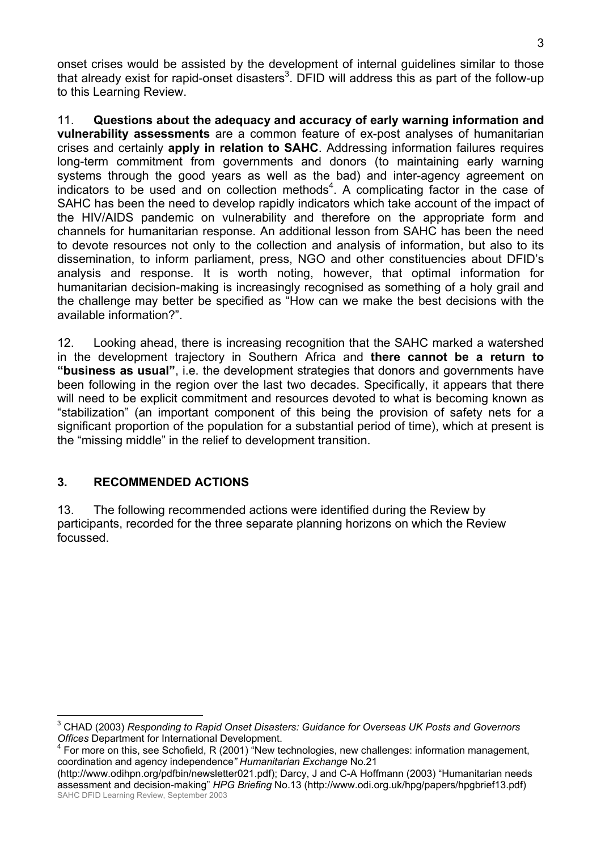onset crises would be assisted by the development of internal guidelines similar to those that already exist for rapid-onset disasters<sup>3</sup>. DFID will address this as part of the follow-up to this Learning Review.

11. **Questions about the adequacy and accuracy of early warning information and vulnerability assessments** are a common feature of ex-post analyses of humanitarian crises and certainly **apply in relation to SAHC**. Addressing information failures requires long-term commitment from governments and donors (to maintaining early warning systems through the good years as well as the bad) and inter-agency agreement on indicators to be used and on collection methods<sup>4</sup>. A complicating factor in the case of SAHC has been the need to develop rapidly indicators which take account of the impact of the HIV/AIDS pandemic on vulnerability and therefore on the appropriate form and channels for humanitarian response. An additional lesson from SAHC has been the need to devote resources not only to the collection and analysis of information, but also to its dissemination, to inform parliament, press, NGO and other constituencies about DFIDís analysis and response. It is worth noting, however, that optimal information for humanitarian decision-making is increasingly recognised as something of a holy grail and the challenge may better be specified as "How can we make the best decisions with the available information?".

12. Looking ahead, there is increasing recognition that the SAHC marked a watershed in the development trajectory in Southern Africa and **there cannot be a return to ìbusiness as usualî**, i.e. the development strategies that donors and governments have been following in the region over the last two decades. Specifically, it appears that there will need to be explicit commitment and resources devoted to what is becoming known as "stabilization" (an important component of this being the provision of safety nets for a significant proportion of the population for a substantial period of time), which at present is the "missing middle" in the relief to development transition.

# **3. RECOMMENDED ACTIONS**

13. The following recommended actions were identified during the Review by participants, recorded for the three separate planning horizons on which the Review focussed.

 $\overline{a}$ 3 CHAD (2003) *Responding to Rapid Onset Disasters: Guidance for Overseas UK Posts and Governors Offices* Department for International Development. 4

For more on this, see Schofield, R (2001) "New technologies, new challenges: information management, coordination and agency independence*î Humanitarian Exchange* No.21

SAHC DFID Learning Review, September 2003 (http://www.odihpn.org/pdfbin/newsletter021.pdf); Darcy, J and C-A Hoffmann (2003) "Humanitarian needs assessment and decision-makingî *HPG Briefing* No.13 (http://www.odi.org.uk/hpg/papers/hpgbrief13.pdf)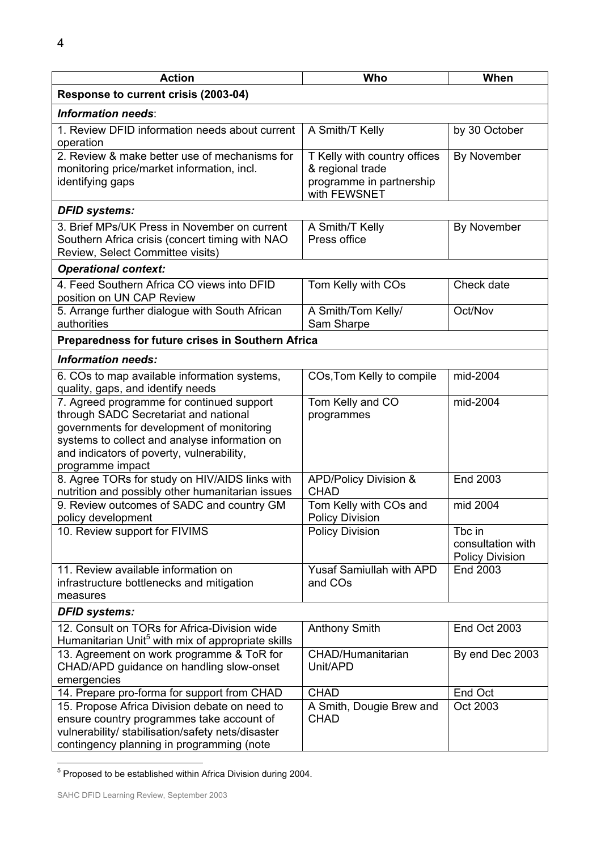| <b>Action</b>                                                                                                                                                                                                                                     | Who                                                                                          | When                                                  |  |  |  |
|---------------------------------------------------------------------------------------------------------------------------------------------------------------------------------------------------------------------------------------------------|----------------------------------------------------------------------------------------------|-------------------------------------------------------|--|--|--|
| Response to current crisis (2003-04)                                                                                                                                                                                                              |                                                                                              |                                                       |  |  |  |
| <b>Information needs:</b>                                                                                                                                                                                                                         |                                                                                              |                                                       |  |  |  |
| 1. Review DFID information needs about current<br>operation                                                                                                                                                                                       | A Smith/T Kelly                                                                              | by 30 October                                         |  |  |  |
| 2. Review & make better use of mechanisms for<br>monitoring price/market information, incl.<br>identifying gaps                                                                                                                                   | T Kelly with country offices<br>& regional trade<br>programme in partnership<br>with FEWSNET | By November                                           |  |  |  |
| <b>DFID systems:</b>                                                                                                                                                                                                                              |                                                                                              |                                                       |  |  |  |
| 3. Brief MPs/UK Press in November on current<br>Southern Africa crisis (concert timing with NAO<br>Review, Select Committee visits)                                                                                                               | A Smith/T Kelly<br>Press office                                                              | By November                                           |  |  |  |
| <b>Operational context:</b>                                                                                                                                                                                                                       |                                                                                              |                                                       |  |  |  |
| 4. Feed Southern Africa CO views into DFID<br>position on UN CAP Review                                                                                                                                                                           | Tom Kelly with COs                                                                           | Check date                                            |  |  |  |
| 5. Arrange further dialogue with South African<br>authorities                                                                                                                                                                                     | A Smith/Tom Kelly/<br>Sam Sharpe                                                             | Oct/Nov                                               |  |  |  |
| Preparedness for future crises in Southern Africa                                                                                                                                                                                                 |                                                                                              |                                                       |  |  |  |
| <b>Information needs:</b>                                                                                                                                                                                                                         |                                                                                              |                                                       |  |  |  |
| 6. COs to map available information systems,<br>quality, gaps, and identify needs                                                                                                                                                                 | COs, Tom Kelly to compile                                                                    | mid-2004                                              |  |  |  |
| 7. Agreed programme for continued support<br>through SADC Secretariat and national<br>governments for development of monitoring<br>systems to collect and analyse information on<br>and indicators of poverty, vulnerability,<br>programme impact | Tom Kelly and CO<br>programmes                                                               | mid-2004                                              |  |  |  |
| 8. Agree TORs for study on HIV/AIDS links with<br>nutrition and possibly other humanitarian issues                                                                                                                                                | APD/Policy Division &<br><b>CHAD</b>                                                         | End 2003                                              |  |  |  |
| 9. Review outcomes of SADC and country GM<br>policy development                                                                                                                                                                                   | Tom Kelly with COs and<br><b>Policy Division</b>                                             | mid 2004                                              |  |  |  |
| 10. Review support for FIVIMS                                                                                                                                                                                                                     | <b>Policy Division</b>                                                                       | Tbc in<br>consultation with<br><b>Policy Division</b> |  |  |  |
| 11. Review available information on<br>infrastructure bottlenecks and mitigation<br>measures                                                                                                                                                      | <b>Yusaf Samiullah with APD</b><br>and COs                                                   | End 2003                                              |  |  |  |
| <b>DFID systems:</b>                                                                                                                                                                                                                              |                                                                                              |                                                       |  |  |  |
| 12. Consult on TORs for Africa-Division wide<br>Humanitarian Unit <sup>5</sup> with mix of appropriate skills                                                                                                                                     | Anthony Smith                                                                                | End Oct 2003                                          |  |  |  |
| 13. Agreement on work programme & ToR for<br>CHAD/APD guidance on handling slow-onset<br>emergencies                                                                                                                                              | CHAD/Humanitarian<br>Unit/APD                                                                | By end Dec 2003                                       |  |  |  |
| 14. Prepare pro-forma for support from CHAD                                                                                                                                                                                                       | <b>CHAD</b>                                                                                  | End Oct                                               |  |  |  |
| 15. Propose Africa Division debate on need to<br>ensure country programmes take account of<br>vulnerability/ stabilisation/safety nets/disaster<br>contingency planning in programming (note                                                      | A Smith, Dougie Brew and<br><b>CHAD</b>                                                      | Oct 2003                                              |  |  |  |

 5 Proposed to be established within Africa Division during 2004.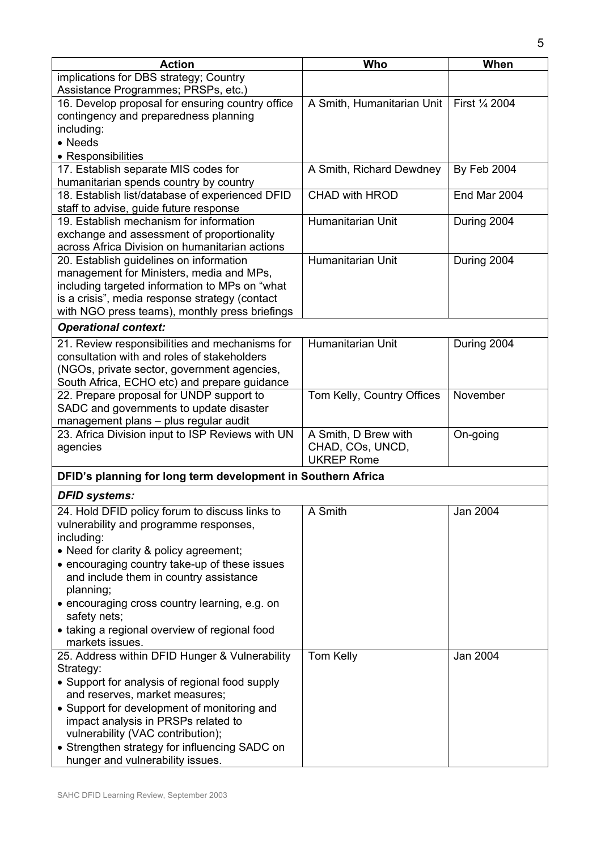| <b>Action</b>                                                                                                                                                                                                                                                                                                                                                                                 | Who                                                           | When               |
|-----------------------------------------------------------------------------------------------------------------------------------------------------------------------------------------------------------------------------------------------------------------------------------------------------------------------------------------------------------------------------------------------|---------------------------------------------------------------|--------------------|
| implications for DBS strategy; Country<br>Assistance Programmes; PRSPs, etc.)                                                                                                                                                                                                                                                                                                                 |                                                               |                    |
| 16. Develop proposal for ensuring country office<br>contingency and preparedness planning<br>including:<br>• Needs<br>• Responsibilities                                                                                                                                                                                                                                                      | A Smith, Humanitarian Unit                                    | First 1/4 2004     |
| 17. Establish separate MIS codes for<br>humanitarian spends country by country                                                                                                                                                                                                                                                                                                                | A Smith, Richard Dewdney                                      | <b>By Feb 2004</b> |
| 18. Establish list/database of experienced DFID<br>staff to advise, guide future response                                                                                                                                                                                                                                                                                                     | <b>CHAD with HROD</b>                                         | End Mar 2004       |
| 19. Establish mechanism for information<br>exchange and assessment of proportionality<br>across Africa Division on humanitarian actions                                                                                                                                                                                                                                                       | Humanitarian Unit                                             | During 2004        |
| 20. Establish guidelines on information<br>management for Ministers, media and MPs,<br>including targeted information to MPs on "what<br>is a crisis", media response strategy (contact<br>with NGO press teams), monthly press briefings                                                                                                                                                     | Humanitarian Unit                                             | During 2004        |
| <b>Operational context:</b>                                                                                                                                                                                                                                                                                                                                                                   |                                                               |                    |
| 21. Review responsibilities and mechanisms for<br>consultation with and roles of stakeholders<br>(NGOs, private sector, government agencies,<br>South Africa, ECHO etc) and prepare guidance                                                                                                                                                                                                  | Humanitarian Unit                                             | During 2004        |
| 22. Prepare proposal for UNDP support to<br>SADC and governments to update disaster<br>management plans - plus regular audit                                                                                                                                                                                                                                                                  | Tom Kelly, Country Offices                                    | November           |
| 23. Africa Division input to ISP Reviews with UN<br>agencies                                                                                                                                                                                                                                                                                                                                  | A Smith, D Brew with<br>CHAD, COs, UNCD,<br><b>UKREP Rome</b> | On-going           |
| DFID's planning for long term development in Southern Africa                                                                                                                                                                                                                                                                                                                                  |                                                               |                    |
| <b>DFID systems:</b>                                                                                                                                                                                                                                                                                                                                                                          |                                                               |                    |
| 24. Hold DFID policy forum to discuss links to<br>vulnerability and programme responses,<br>including:<br>• Need for clarity & policy agreement;<br>• encouraging country take-up of these issues<br>and include them in country assistance<br>planning;<br>• encouraging cross country learning, e.g. on<br>safety nets;<br>• taking a regional overview of regional food<br>markets issues. | A Smith                                                       | Jan 2004           |
| 25. Address within DFID Hunger & Vulnerability<br>Strategy:<br>• Support for analysis of regional food supply<br>and reserves, market measures;<br>• Support for development of monitoring and<br>impact analysis in PRSPs related to<br>vulnerability (VAC contribution);<br>• Strengthen strategy for influencing SADC on<br>hunger and vulnerability issues.                               | Tom Kelly                                                     | Jan 2004           |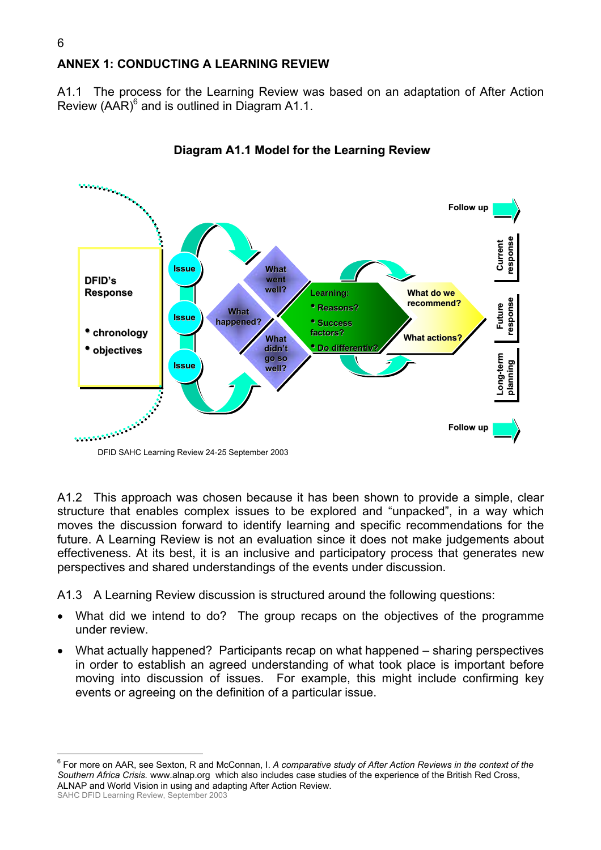# **ANNEX 1: CONDUCTING A LEARNING REVIEW**

A1.1 The process for the Learning Review was based on an adaptation of After Action Review  $(AAR)^6$  and is outlined in Diagram A1.1.



**Diagram A1.1 Model for the Learning Review**

A1.2 This approach was chosen because it has been shown to provide a simple, clear structure that enables complex issues to be explored and "unpacked", in a way which moves the discussion forward to identify learning and specific recommendations for the future. A Learning Review is not an evaluation since it does not make judgements about effectiveness. At its best, it is an inclusive and participatory process that generates new perspectives and shared understandings of the events under discussion.

A1.3 A Learning Review discussion is structured around the following questions:

- What did we intend to do? The group recaps on the objectives of the programme under review.
- What actually happened? Participants recap on what happened sharing perspectives in order to establish an agreed understanding of what took place is important before moving into discussion of issues. For example, this might include confirming key events or agreeing on the definition of a particular issue.

 $\overline{a}$ 

<sup>6</sup> For more on AAR, see Sexton, R and McConnan, I. *A comparative study of After Action Reviews in the context of the Southern Africa Crisis.* www.alnap.org which also includes case studies of the experience of the British Red Cross, ALNAP and World Vision in using and adapting After Action Review.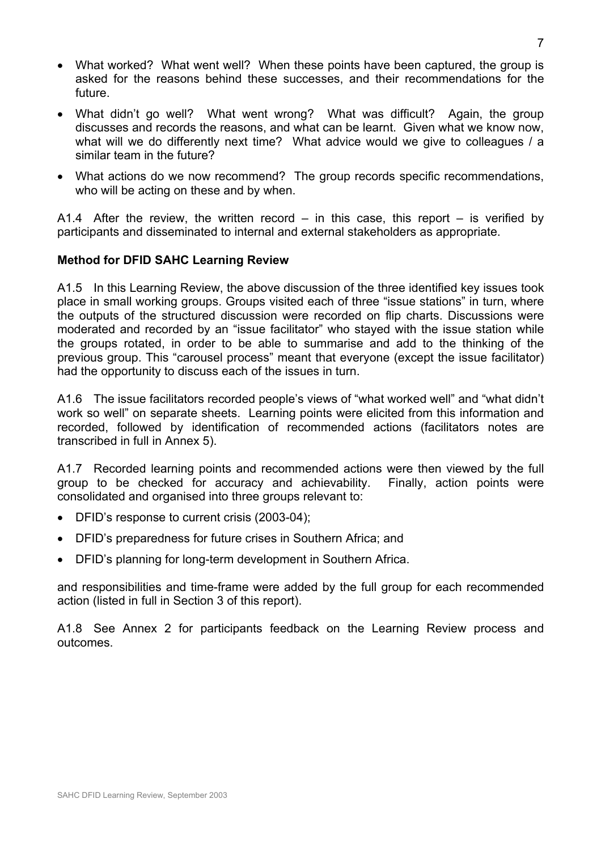- What worked? What went well? When these points have been captured, the group is asked for the reasons behind these successes, and their recommendations for the future.
- What didnít go well? What went wrong? What was difficult? Again, the group discusses and records the reasons, and what can be learnt. Given what we know now, what will we do differently next time? What advice would we give to colleagues / a similar team in the future?
- What actions do we now recommend? The group records specific recommendations, who will be acting on these and by when.

A1.4 After the review, the written record  $-$  in this case, this report  $-$  is verified by participants and disseminated to internal and external stakeholders as appropriate.

#### **Method for DFID SAHC Learning Review**

A1.5 In this Learning Review, the above discussion of the three identified key issues took place in small working groups. Groups visited each of three "issue stations" in turn, where the outputs of the structured discussion were recorded on flip charts. Discussions were moderated and recorded by an "issue facilitator" who stayed with the issue station while the groups rotated, in order to be able to summarise and add to the thinking of the previous group. This "carousel process" meant that everyone (except the issue facilitator) had the opportunity to discuss each of the issues in turn.

A1.6 The issue facilitators recorded people's views of "what worked well" and "what didn't work so well" on separate sheets. Learning points were elicited from this information and recorded, followed by identification of recommended actions (facilitators notes are transcribed in full in Annex 5).

A1.7 Recorded learning points and recommended actions were then viewed by the full group to be checked for accuracy and achievability. Finally, action points were consolidated and organised into three groups relevant to:

- DFIDís response to current crisis (2003-04);
- DFIDís preparedness for future crises in Southern Africa; and
- DFIDís planning for long-term development in Southern Africa.

and responsibilities and time-frame were added by the full group for each recommended action (listed in full in Section 3 of this report).

A1.8 See Annex 2 for participants feedback on the Learning Review process and outcomes.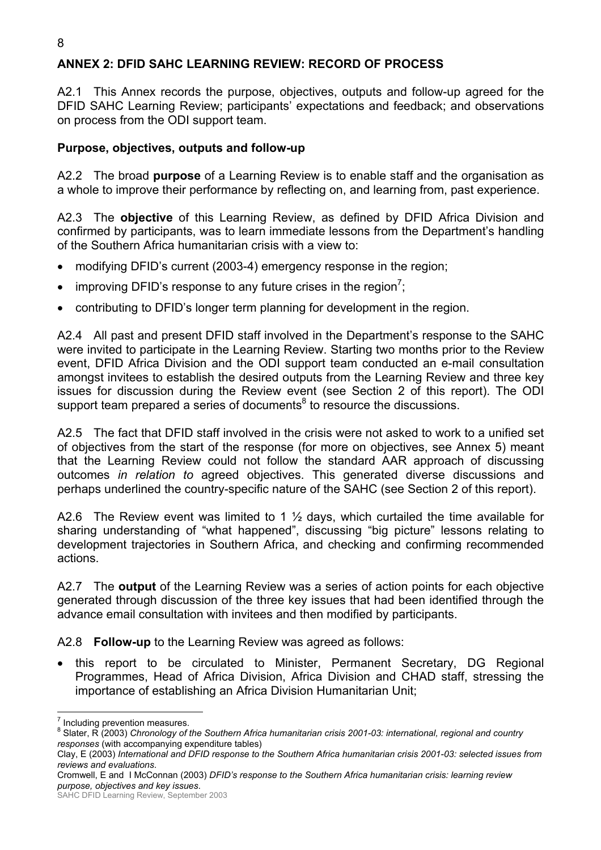# **ANNEX 2: DFID SAHC LEARNING REVIEW: RECORD OF PROCESS**

A2.1 This Annex records the purpose, objectives, outputs and follow-up agreed for the DFID SAHC Learning Review; participantsí expectations and feedback; and observations on process from the ODI support team.

## **Purpose, objectives, outputs and follow-up**

A2.2 The broad **purpose** of a Learning Review is to enable staff and the organisation as a whole to improve their performance by reflecting on, and learning from, past experience.

A2.3 The **objective** of this Learning Review, as defined by DFID Africa Division and confirmed by participants, was to learn immediate lessons from the Department's handling of the Southern Africa humanitarian crisis with a view to:

- modifying DFID's current (2003-4) emergency response in the region;
- improving DFID's response to any future crises in the region<sup>7</sup>;
- contributing to DFID's longer term planning for development in the region.

A2.4 All past and present DFID staff involved in the Department's response to the SAHC were invited to participate in the Learning Review. Starting two months prior to the Review event, DFID Africa Division and the ODI support team conducted an e-mail consultation amongst invitees to establish the desired outputs from the Learning Review and three key issues for discussion during the Review event (see Section 2 of this report). The ODI support team prepared a series of documents $^8$  to resource the discussions.

A2.5 The fact that DFID staff involved in the crisis were not asked to work to a unified set of objectives from the start of the response (for more on objectives, see Annex 5) meant that the Learning Review could not follow the standard AAR approach of discussing outcomes *in relation to* agreed objectives. This generated diverse discussions and perhaps underlined the country-specific nature of the SAHC (see Section 2 of this report).

A2.6 The Review event was limited to 1  $\frac{1}{2}$  days, which curtailed the time available for sharing understanding of "what happened", discussing "big picture" lessons relating to development trajectories in Southern Africa, and checking and confirming recommended actions.

A2.7 The **output** of the Learning Review was a series of action points for each objective generated through discussion of the three key issues that had been identified through the advance email consultation with invitees and then modified by participants.

A2.8 **Follow-up** to the Learning Review was agreed as follows:

• this report to be circulated to Minister, Permanent Secretary, DG Regional Programmes, Head of Africa Division, Africa Division and CHAD staff, stressing the importance of establishing an Africa Division Humanitarian Unit;

<sup>&</sup>lt;sup>7</sup> Including prevention measures.

<sup>&</sup>lt;sup>8</sup> Slater, R (2003) *Chronology of the Southern Africa humanitarian crisis 2001-03: international, regional and country responses* (with accompanying expenditure tables)

Clay, E (2003) *International and DFID response to the Southern Africa humanitarian crisis 2001-03: selected issues from reviews and evaluations*.

Cromwell, E and I McConnan (2003) *DFIDís response to the Southern Africa humanitarian crisis: learning review purpose, objectives and key issues*.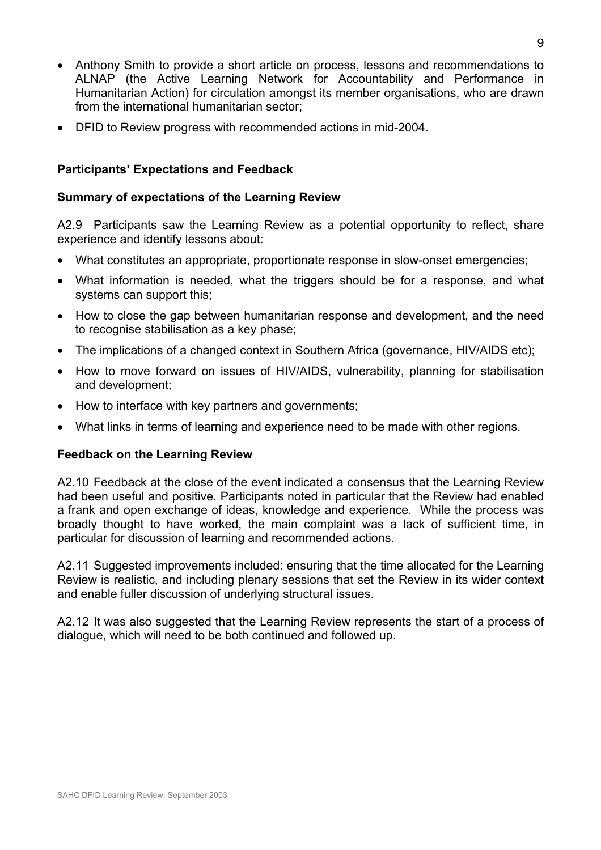- Anthony Smith to provide a short article on process, lessons and recommendations to ALNAP (the Active Learning Network for Accountability and Performance in Humanitarian Action) for circulation amongst its member organisations, who are drawn from the international humanitarian sector;
- DFID to Review progress with recommended actions in mid-2004.

#### **Participants' Expectations and Feedback**

#### **Summary of expectations of the Learning Review**

A2.9 Participants saw the Learning Review as a potential opportunity to reflect, share experience and identify lessons about:

- What constitutes an appropriate, proportionate response in slow-onset emergencies;
- What information is needed, what the triggers should be for a response, and what systems can support this;
- How to close the gap between humanitarian response and development, and the need to recognise stabilisation as a key phase;
- The implications of a changed context in Southern Africa (governance, HIV/AIDS etc);
- How to move forward on issues of HIV/AIDS, vulnerability, planning for stabilisation and development;
- How to interface with key partners and governments;
- What links in terms of learning and experience need to be made with other regions.

#### **Feedback on the Learning Review**

A2.10 Feedback at the close of the event indicated a consensus that the Learning Review had been useful and positive. Participants noted in particular that the Review had enabled a frank and open exchange of ideas, knowledge and experience. While the process was broadly thought to have worked, the main complaint was a lack of sufficient time, in particular for discussion of learning and recommended actions.

A2.11 Suggested improvements included: ensuring that the time allocated for the Learning Review is realistic, and including plenary sessions that set the Review in its wider context and enable fuller discussion of underlying structural issues.

A2.12 It was also suggested that the Learning Review represents the start of a process of dialogue, which will need to be both continued and followed up.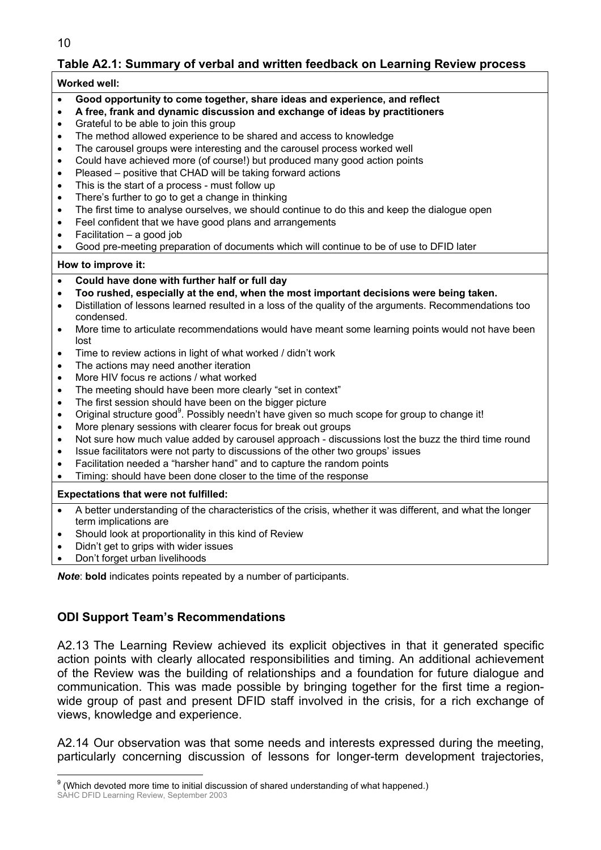10

# **Table A2.1: Summary of verbal and written feedback on Learning Review process**

#### **Worked well:**

- **Good opportunity to come together, share ideas and experience, and reflect**
- **A free, frank and dynamic discussion and exchange of ideas by practitioners**
- Grateful to be able to join this group
- The method allowed experience to be shared and access to knowledge
- The carousel groups were interesting and the carousel process worked well
- Could have achieved more (of course!) but produced many good action points
- Pleased positive that CHAD will be taking forward actions
- This is the start of a process must follow up
- There's further to go to get a change in thinking
- The first time to analyse ourselves, we should continue to do this and keep the dialogue open
- Feel confident that we have good plans and arrangements
- Facilitation  $-$  a good job
- Good pre-meeting preparation of documents which will continue to be of use to DFID later

#### **How to improve it:**

- **Could have done with further half or full day**
- **Too rushed, especially at the end, when the most important decisions were being taken.**
- Distillation of lessons learned resulted in a loss of the quality of the arguments. Recommendations too condensed.
- More time to articulate recommendations would have meant some learning points would not have been lost
- Time to review actions in light of what worked / didn't work
- The actions may need another iteration
- More HIV focus re actions / what worked
- The meeting should have been more clearly "set in context"
- The first session should have been on the bigger picture
- Original structure good<sup>9</sup>. Possibly needn't have given so much scope for group to change it!
- More plenary sessions with clearer focus for break out groups
- Not sure how much value added by carousel approach discussions lost the buzz the third time round
- Issue facilitators were not party to discussions of the other two groups' issues
- Facilitation needed a "harsher hand" and to capture the random points
- Timing: should have been done closer to the time of the response

#### **Expectations that were not fulfilled:**

- A better understanding of the characteristics of the crisis, whether it was different, and what the longer term implications are
- Should look at proportionality in this kind of Review
- Didn't get to grips with wider issues
- Don't forget urban livelihoods

*Note*: **bold** indicates points repeated by a number of participants.

## **ODI Support Team's Recommendations**

A2.13 The Learning Review achieved its explicit objectives in that it generated specific action points with clearly allocated responsibilities and timing. An additional achievement of the Review was the building of relationships and a foundation for future dialogue and communication. This was made possible by bringing together for the first time a regionwide group of past and present DFID staff involved in the crisis, for a rich exchange of views, knowledge and experience.

A2.14 Our observation was that some needs and interests expressed during the meeting, particularly concerning discussion of lessons for longer-term development trajectories,

SAHC DFID Learning Review, September 2003 erd only consided the constant of the constant of the constant of the constant of the constant of  $9$  (Which devoted more time to initial discussion of shared understanding of what happened.)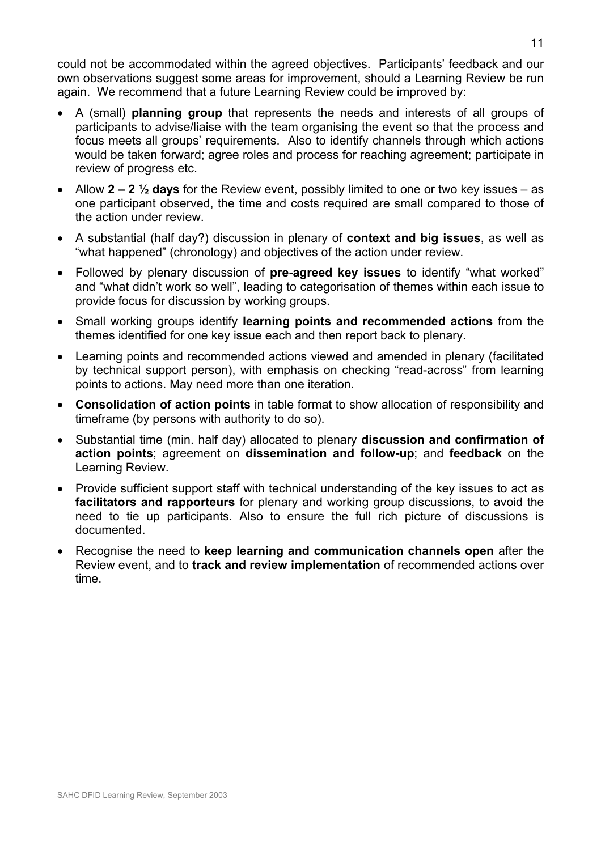could not be accommodated within the agreed objectives. Participants' feedback and our own observations suggest some areas for improvement, should a Learning Review be run again. We recommend that a future Learning Review could be improved by:

- A (small) **planning group** that represents the needs and interests of all groups of participants to advise/liaise with the team organising the event so that the process and focus meets all groups' requirements. Also to identify channels through which actions would be taken forward; agree roles and process for reaching agreement; participate in review of progress etc.
- Allow  $2 2 \frac{1}{2}$  days for the Review event, possibly limited to one or two key issues  $-$  as one participant observed, the time and costs required are small compared to those of the action under review.
- A substantial (half day?) discussion in plenary of **context and big issues**, as well as "what happened" (chronology) and objectives of the action under review.
- Followed by plenary discussion of **pre-agreed key issues** to identify "what worked" and "what didn't work so well", leading to categorisation of themes within each issue to provide focus for discussion by working groups.
- Small working groups identify **learning points and recommended actions** from the themes identified for one key issue each and then report back to plenary.
- Learning points and recommended actions viewed and amended in plenary (facilitated by technical support person), with emphasis on checking "read-across" from learning points to actions. May need more than one iteration.
- **Consolidation of action points** in table format to show allocation of responsibility and timeframe (by persons with authority to do so).
- Substantial time (min. half day) allocated to plenary **discussion and confirmation of action points**; agreement on **dissemination and follow-up**; and **feedback** on the Learning Review.
- Provide sufficient support staff with technical understanding of the key issues to act as **facilitators and rapporteurs** for plenary and working group discussions, to avoid the need to tie up participants. Also to ensure the full rich picture of discussions is documented.
- Recognise the need to **keep learning and communication channels open** after the Review event, and to **track and review implementation** of recommended actions over time.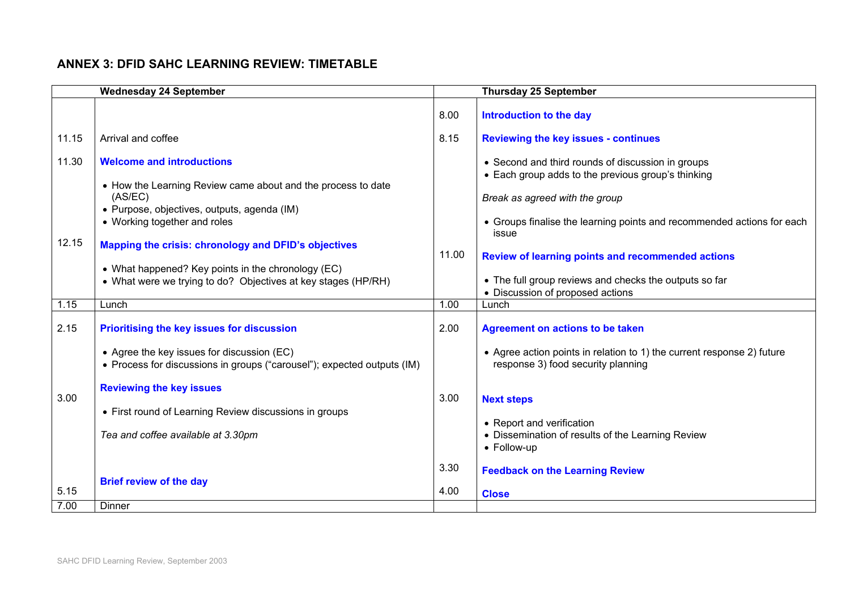### **ANNEX 3: DFID SAHC LEARNING REVIEW: TIMETABLE**

|                | <b>Wednesday 24 September</b>                                                                                                                                                                                                                                                                                                                                             |              | <b>Thursday 25 September</b>                                                                                                                                                                                                                                                                                                                                                           |  |
|----------------|---------------------------------------------------------------------------------------------------------------------------------------------------------------------------------------------------------------------------------------------------------------------------------------------------------------------------------------------------------------------------|--------------|----------------------------------------------------------------------------------------------------------------------------------------------------------------------------------------------------------------------------------------------------------------------------------------------------------------------------------------------------------------------------------------|--|
|                |                                                                                                                                                                                                                                                                                                                                                                           | 8.00         | Introduction to the day                                                                                                                                                                                                                                                                                                                                                                |  |
| 11.15          | Arrival and coffee                                                                                                                                                                                                                                                                                                                                                        | 8.15         | <b>Reviewing the key issues - continues</b>                                                                                                                                                                                                                                                                                                                                            |  |
| 11.30<br>12.15 | <b>Welcome and introductions</b><br>• How the Learning Review came about and the process to date<br>(AS/EC)<br>· Purpose, objectives, outputs, agenda (IM)<br>• Working together and roles<br>Mapping the crisis: chronology and DFID's objectives<br>• What happened? Key points in the chronology (EC)<br>• What were we trying to do? Objectives at key stages (HP/RH) | 11.00        | • Second and third rounds of discussion in groups<br>• Each group adds to the previous group's thinking<br>Break as agreed with the group<br>• Groups finalise the learning points and recommended actions for each<br>issue<br><b>Review of learning points and recommended actions</b><br>• The full group reviews and checks the outputs so far<br>• Discussion of proposed actions |  |
| 1.15           | Lunch                                                                                                                                                                                                                                                                                                                                                                     | 1.00         | Lunch                                                                                                                                                                                                                                                                                                                                                                                  |  |
| 2.15<br>3.00   | Prioritising the key issues for discussion<br>• Agree the key issues for discussion (EC)<br>• Process for discussions in groups ("carousel"); expected outputs (IM)<br><b>Reviewing the key issues</b><br>• First round of Learning Review discussions in groups<br>Tea and coffee available at 3.30pm                                                                    | 2.00<br>3.00 | <b>Agreement on actions to be taken</b><br>• Agree action points in relation to 1) the current response 2) future<br>response 3) food security planning<br><b>Next steps</b><br>• Report and verification<br>• Dissemination of results of the Learning Review<br>• Follow-up                                                                                                          |  |
| 5.15<br>7.00   | <b>Brief review of the day</b><br>Dinner                                                                                                                                                                                                                                                                                                                                  | 3.30<br>4.00 | <b>Feedback on the Learning Review</b><br><b>Close</b>                                                                                                                                                                                                                                                                                                                                 |  |